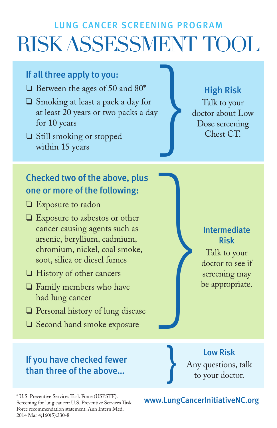# LUNG CANCER SCREENING PROGRAM RISK ASSESSMENT TOOL }<br>}

## If all three apply to you:

- ❏ Between the ages of 50 and 80\*
- ❏ Smoking at least a pack a day for at least 20 years or two packs a day for 10 years
- ❏ Still smoking or stopped within 15 years

# Checked two of the above, plus one or more of the following:

- ❏ Exposure to radon
- ❏ Exposure to asbestos or other cancer causing agents such as arsenic, beryllium, cadmium, chromium, nickel, coal smoke, soot, silica or diesel fumes
- ❏ History of other cancers
- ❏ Family members who have had lung cancer
- ❏ Personal history of lung disease
- ❏ Second hand smoke exposure

### If you have checked fewer than three of the above…

\* U.S. Preventive Services Task Force (USPSTF). Screening for lung cancer: U.S. Preventive Services Task Force recommendation statement. Ann Intern Med. 2014 Mar 4;160(5):330-8

High Risk

Talk to your doctor about Low Dose screening Chest CT.

> Intermediate Risk

Talk to your doctor to see if screening may be appropriate. }

> Low Risk Any questions, talk to your doctor.

#### www.LungCancerInitiativeNC.org

}